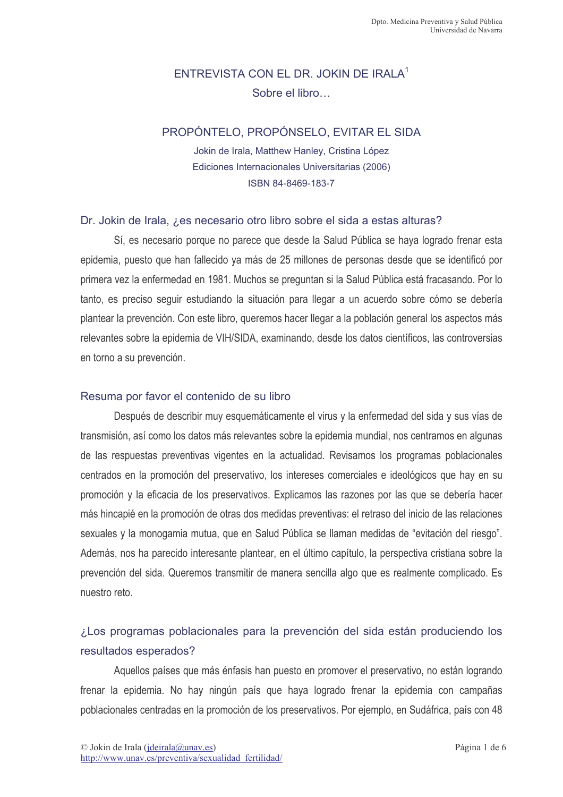# ENTREVISTA CON EL DR. JOKIN DE IRALA<sup>1</sup> Sobre el libro

### PROPÓNTELO, PROPÓNSELO, EVITAR EL SIDA

Jokin de Irala, Matthew Hanley, Cristina López Ediciones Internacionales Universitarias (2006) ISBN 84-8469-183-7

#### Dr. Jokin de Irala, *i* es necesario otro libro sobre el sida a estas alturas?

Sí, es necesario porque no parece que desde la Salud Pública se haya logrado frenar esta epidemia, puesto que han fallecido ya más de 25 millones de personas desde que se identificó por primera vez la enfermedad en 1981. Muchos se preguntan si la Salud Pública está fracasando. Por lo tanto, es preciso seguir estudiando la situación para llegar a un acuerdo sobre cómo se debería plantear la prevención. Con este libro, queremos hacer llegar a la población general los aspectos más relevantes sobre la epidemia de VIH/SIDA, examinando, desde los datos científicos, las controversias en torno a su prevención.

### Resuma por favor el contenido de su libro

Después de describir muy esquemáticamente el virus y la enfermedad del sida y sus vías de transmisión, así como los datos más relevantes sobre la epidemia mundial, nos centramos en algunas de las respuestas preventivas vigentes en la actualidad. Revisamos los programas poblacionales centrados en la promoción del preservativo, los intereses comerciales e ideológicos que hay en su promoción y la eficacia de los preservativos. Explicamos las razones por las que se debería hacer más hincapié en la promoción de otras dos medidas preventivas: el retraso del inicio de las relaciones sexuales y la monogamia mutua, que en Salud Pública se llaman medidas de "evitación del riesgo". Además, nos ha parecido interesante plantear, en el último capítulo, la perspectiva cristiana sobre la prevención del sida. Queremos transmitir de manera sencilla algo que es realmente complicado. Es nuestro reto.

# ¿Los programas poblacionales para la prevención del sida están produciendo los resultados esperados?

Aquellos países que más énfasis han puesto en promover el preservativo, no están logrando frenar la epidemia. No hay ningún país que haya logrado frenar la epidemia con campañas poblacionales centradas en la promoción de los preservativos. Por ejemplo, en Sudáfrica, país con 48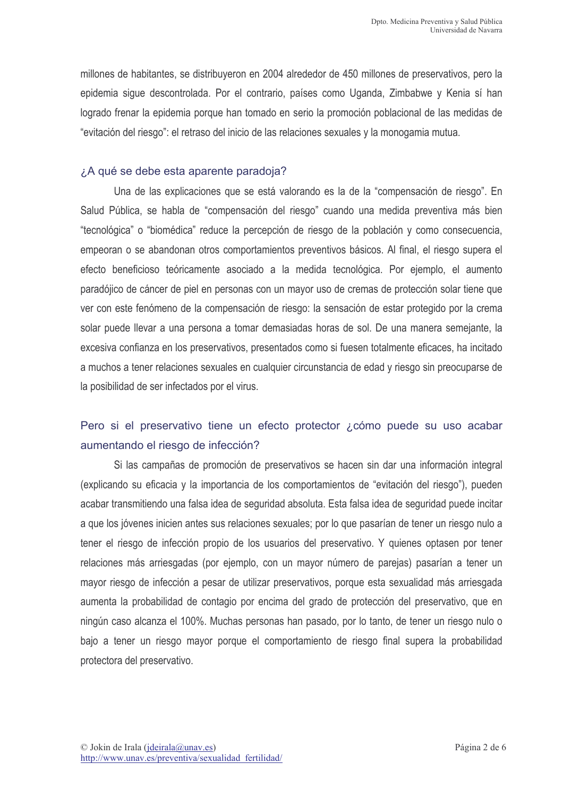millones de habitantes, se distribuyeron en 2004 alrededor de 450 millones de preservativos, pero la epidemia sigue descontrolada. Por el contrario, países como Uganda, Zimbabwe y Kenia sí han logrado frenar la epidemia porque han tomado en serio la promoción poblacional de las medidas de "evitación del riesgo": el retraso del inicio de las relaciones sexuales y la monogamia mutua.

#### ¿A qué se debe esta aparente paradoja?

Una de las explicaciones que se está valorando es la de la "compensación de riesgo". En Salud Pública, se habla de "compensación del riesgo" cuando una medida preventiva más bien "tecnológica" o "biomédica" reduce la percepción de riesgo de la población y como consecuencia, empeoran o se abandonan otros comportamientos preventivos básicos. Al final, el riesgo supera el efecto beneficioso teóricamente asociado a la medida tecnológica. Por ejemplo, el aumento paradójico de cáncer de piel en personas con un mayor uso de cremas de protección solar tiene que ver con este fenómeno de la compensación de riesgo: la sensación de estar protegido por la crema solar puede llevar a una persona a tomar demasiadas horas de sol. De una manera semejante, la excesiva confianza en los preservativos, presentados como si fuesen totalmente eficaces, ha incitado a muchos a tener relaciones sexuales en cualquier circunstancia de edad y riesgo sin preocuparse de la posibilidad de ser infectados por el virus.

# Pero si el preservativo tiene un efecto protector ¿cómo puede su uso acabar aumentando el riesgo de infección?

Si las campañas de promoción de preservativos se hacen sin dar una información integral (explicando su eficacia y la importancia de los comportamientos de "evitación del riesgo"), pueden acabar transmitiendo una falsa idea de seguridad absoluta. Esta falsa idea de seguridad puede incitar a que los jóvenes inicien antes sus relaciones sexuales; por lo que pasarían de tener un riesgo nulo a tener el riesgo de infección propio de los usuarios del preservativo. Y quienes optasen por tener relaciones más arriesgadas (por ejemplo, con un mayor número de parejas) pasarían a tener un mayor riesgo de infección a pesar de utilizar preservativos, porque esta sexualidad más arriesgada aumenta la probabilidad de contagio por encima del grado de protección del preservativo, que en ningún caso alcanza el 100%. Muchas personas han pasado, por lo tanto, de tener un riesgo nulo o bajo a tener un riesgo mayor porque el comportamiento de riesgo final supera la probabilidad protectora del preservativo.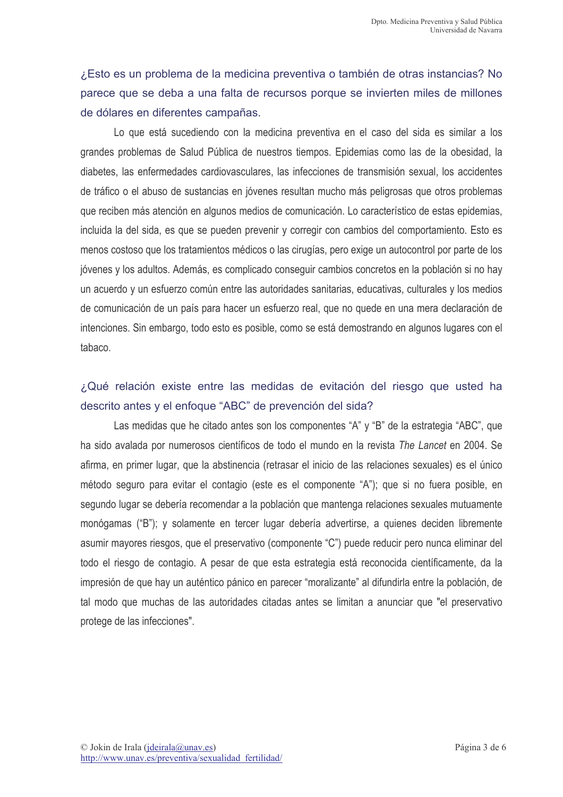¿Esto es un problema de la medicina preventiva o también de otras instancias? No parece que se deba a una falta de recursos porque se invierten miles de millones de dólares en diferentes campañas.

Lo que está sucediendo con la medicina preventiva en el caso del sida es similar a los grandes problemas de Salud Pública de nuestros tiempos. Epidemias como las de la obesidad, la diabetes, las enfermedades cardiovasculares, las infecciones de transmisión sexual, los accidentes de tráfico o el abuso de sustancias en jóvenes resultan mucho más peligrosas que otros problemas que reciben más atención en algunos medios de comunicación. Lo característico de estas epidemias, incluida la del sida, es que se pueden prevenir y corregir con cambios del comportamiento. Esto es menos costoso que los tratamientos médicos o las cirugías, pero exige un autocontrol por parte de los jóvenes y los adultos. Además, es complicado conseguir cambios concretos en la población si no hay un acuerdo y un esfuerzo común entre las autoridades sanitarias, educativas, culturales y los medios de comunicación de un país para hacer un esfuerzo real, que no quede en una mera declaración de intenciones. Sin embargo, todo esto es posible, como se está demostrando en algunos lugares con el tabaco.

### ¿Qué relación existe entre las medidas de evitación del riesgo que usted ha descrito antes y el enfoque "ABC" de prevención del sida?

Las medidas que he citado antes son los componentes "A" y "B" de la estrategia "ABC", que ha sido avalada por numerosos científicos de todo el mundo en la revista The Lancet en 2004. Se afirma, en primer lugar, que la abstinencia (retrasar el inicio de las relaciones sexuales) es el único método seguro para evitar el contagio (este es el componente "A"); que si no fuera posible, en segundo lugar se debería recomendar a la población que mantenga relaciones sexuales mutuamente monógamas ("B"); y solamente en tercer lugar debería advertirse, a quienes deciden libremente asumir mayores riesgos, que el preservativo (componente "C") puede reducir pero nunca eliminar del todo el riesgo de contagio. A pesar de que esta estrategia está reconocida científicamente, da la impresión de que hay un auténtico pánico en parecer "moralizante" al difundirla entre la población, de tal modo que muchas de las autoridades citadas antes se limitan a anunciar que "el preservativo protege de las infecciones".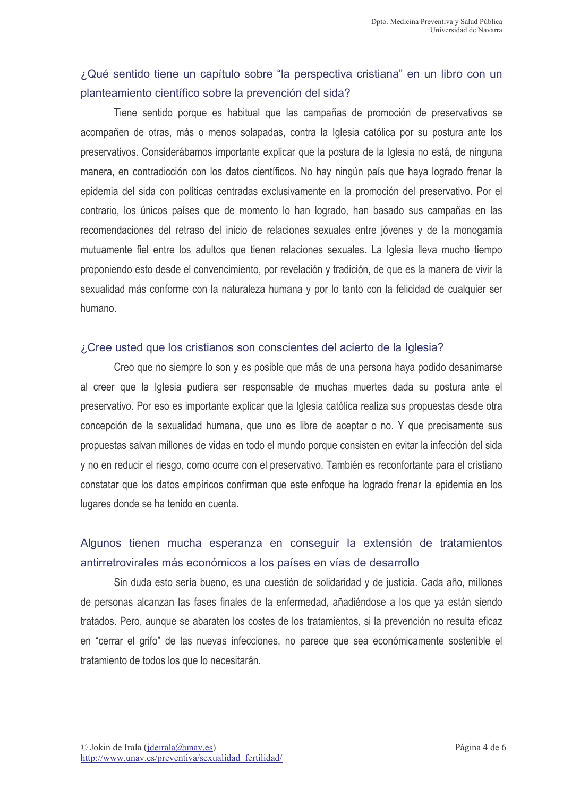# ¿Qué sentido tiene un capítulo sobre "la perspectiva cristiana" en un libro con un planteamiento científico sobre la prevención del sida?

Tiene sentido porque es habitual que las campañas de promoción de preservativos se acompañen de otras, más o menos solapadas, contra la Iglesia católica por su postura ante los preservativos. Considerábamos importante explicar que la postura de la Iglesia no está, de ninguna manera, en contradicción con los datos científicos. No hay ningún país que haya logrado frenar la epidemia del sida con políticas centradas exclusivamente en la promoción del preservativo. Por el contrario, los únicos países que de momento lo han logrado, han basado sus campañas en las recomendaciones del retraso del inicio de relaciones sexuales entre jóvenes y de la monogamia mutuamente fiel entre los adultos que tienen relaciones sexuales. La Iglesia lleva mucho tiempo proponiendo esto desde el convencimiento, por revelación y tradición, de que es la manera de vivir la sexualidad más conforme con la naturaleza humana y por lo tanto con la felicidad de cualquier ser humano

#### ¿Cree usted que los cristianos son conscientes del acierto de la Iglesia?

Creo que no siempre lo son y es posible que más de una persona haya podido desanimarse al creer que la Iglesia pudiera ser responsable de muchas muertes dada su postura ante el preservativo. Por eso es importante explicar que la Iglesia católica realiza sus propuestas desde otra concepción de la sexualidad humana, que uno es libre de aceptar o no. Y que precisamente sus propuestas salvan millones de vidas en todo el mundo porque consisten en evitar la infección del sida y no en reducir el riesgo, como ocurre con el preservativo. También es reconfortante para el cristiano constatar que los datos empíricos confirman que este enfoque ha logrado frenar la epidemia en los lugares donde se ha tenido en cuenta.

# Algunos tienen mucha esperanza en conseguir la extensión de tratamientos antirretrovirales más económicos a los países en vías de desarrollo

Sin duda esto sería bueno, es una cuestión de solidaridad y de justicia. Cada año, millones de personas alcanzan las fases finales de la enfermedad, añadiéndose a los que ya están siendo tratados. Pero, aunque se abaraten los costes de los tratamientos, si la prevención no resulta eficaz en "cerrar el grifo" de las nuevas infecciones, no parece que sea económicamente sostenible el tratamiento de todos los que lo necesitarán.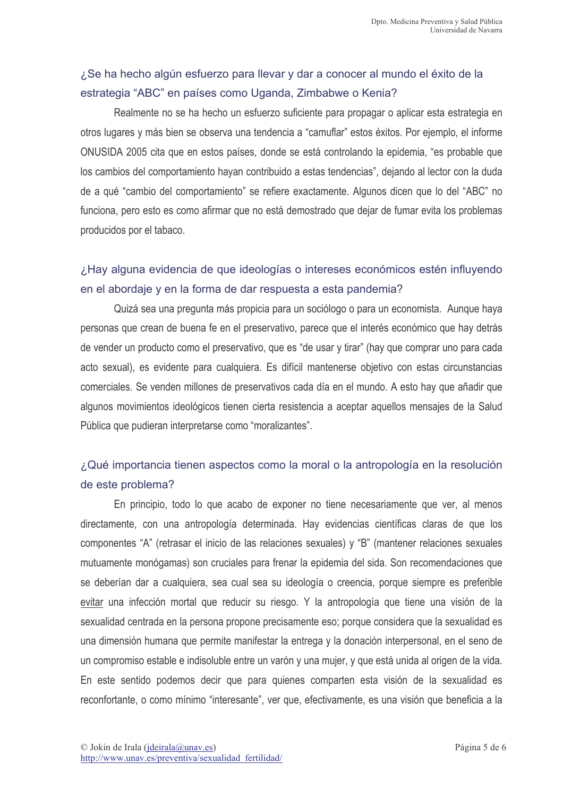# ¿Se ha hecho algún esfuerzo para llevar y dar a conocer al mundo el éxito de la estrategia "ABC" en países como Uganda, Zimbabwe o Kenia?

Realmente no se ha hecho un esfuerzo suficiente para propagar o aplicar esta estrategia en otros lugares y más bien se observa una tendencia a "camuflar" estos éxitos. Por ejemplo, el informe ONUSIDA 2005 cita que en estos países, donde se está controlando la epidemia, "es probable que los cambios del comportamiento havan contribuido a estas tendencias", deiando al lector con la duda de a qué "cambio del comportamiento" se refiere exactamente. Algunos dicen que lo del "ABC" no funciona, pero esto es como afirmar que no está demostrado que dejar de fumar evita los problemas producidos por el tabaco.

# ¿Hay alguna evidencia de que ideologías o intereses económicos estén influyendo en el abordaje y en la forma de dar respuesta a esta pandemia?

Quizá sea una pregunta más propicia para un sociólogo o para un economista. Aunque haya personas que crean de buena fe en el preservativo, parece que el interés económico que hay detrás de vender un producto como el preservativo, que es "de usar y tirar" (hay que comprar uno para cada acto sexual), es evidente para cualquiera. Es difícil mantenerse objetivo con estas circunstancias comerciales. Se venden millones de preservativos cada día en el mundo. A esto hay que añadir que algunos movimientos ideológicos tienen cierta resistencia a aceptar aquellos mensajes de la Salud Pública que pudieran interpretarse como "moralizantes".

# ¿Qué importancia tienen aspectos como la moral o la antropología en la resolución de este problema?

En principio, todo lo que acabo de exponer no tiene necesariamente que ver, al menos directamente, con una antropología determinada. Hay evidencias científicas claras de que los componentes "A" (retrasar el inicio de las relaciones sexuales) y "B" (mantener relaciones sexuales mutuamente monógamas) son cruciales para frenar la epidemia del sida. Son recomendaciones que se deberían dar a cualquiera, sea cual sea su ideología o creencia, porque siempre es preferible evitar una infección mortal que reducir su riesgo. Y la antropología que tiene una visión de la sexualidad centrada en la persona propone precisamente eso; porque considera que la sexualidad es una dimensión humana que permite manifestar la entrega y la donación interpersonal, en el seno de un compromiso estable e indisoluble entre un varón y una mujer, y que está unida al origen de la vida. En este sentido podemos decir que para quienes comparten esta visión de la sexualidad es reconfortante, o como mínimo "interesante", ver que, efectivamente, es una visión que beneficia a la